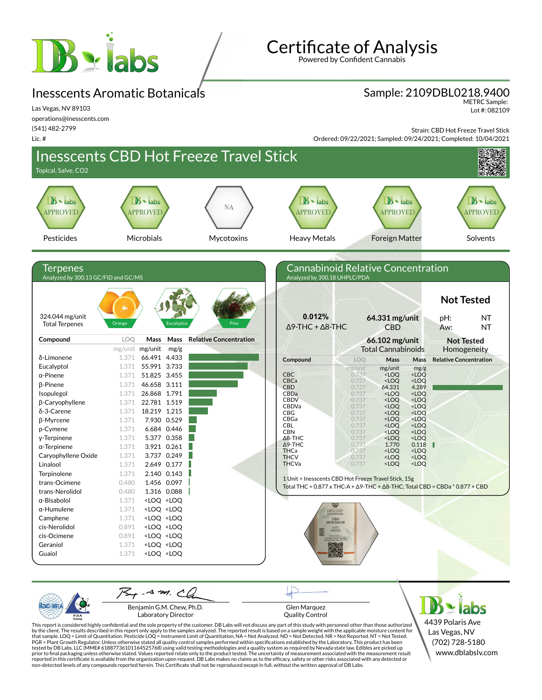

## Inesscents Aromatic Botanicals

Las Vegas, NV 89103 operations@inesscents.com (541) 482-2799

Lic. #

**Certificate of Analysis** 

Powered by Confident Cannabis

#### Sample: 2109DBL0218.9400

METRC Sample: Lot #: 082109

Strain: CBD Hot Freeze Travel Stick

Ordered: 09/22/2021; Sampled: 09/24/2021; Completed: 10/04/2021



Benjamin G.M. Chew, Ph.D. Laboratory Director

PJL/

Glen Marquez

4439 Polaris Ave Las Vegas, NV (702) 728-5180 www.dblabslv.com

This report is considered highly confidential and the sole property of the customer. DB Labs will not discuss any part of this study with personnel other than those authorized<br>by the client. The results described in this r tested by DB Labs, LLC (MME# 61887736101164525768) using valid testing methodologies and a quality system as required by Nevada state law. Edibles are picked up<br>prior to final packaging unless otherwise stated. Values repo

Quality Control